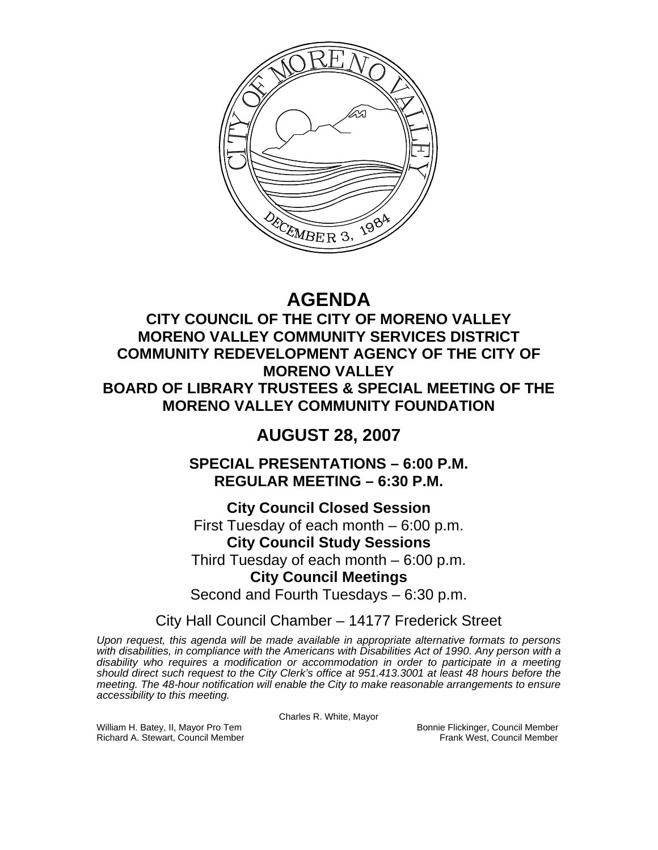

# **AGENDA**

# **CITY COUNCIL OF THE CITY OF MORENO VALLEY MORENO VALLEY COMMUNITY SERVICES DISTRICT COMMUNITY REDEVELOPMENT AGENCY OF THE CITY OF MORENO VALLEY BOARD OF LIBRARY TRUSTEES & SPECIAL MEETING OF THE MORENO VALLEY COMMUNITY FOUNDATION**

# **AUGUST 28, 2007**

**SPECIAL PRESENTATIONS – 6:00 P.M. REGULAR MEETING – 6:30 P.M.** 

**City Council Closed Session**  First Tuesday of each month – 6:00 p.m. **City Council Study Sessions**  Third Tuesday of each month – 6:00 p.m. **City Council Meetings** 

Second and Fourth Tuesdays – 6:30 p.m.

City Hall Council Chamber – 14177 Frederick Street

*Upon request, this agenda will be made available in appropriate alternative formats to persons with disabilities, in compliance with the Americans with Disabilities Act of 1990. Any person with a disability who requires a modification or accommodation in order to participate in a meeting should direct such request to the City Clerk's office at 951.413.3001 at least 48 hours before the meeting. The 48-hour notification will enable the City to make reasonable arrangements to ensure accessibility to this meeting.* 

Charles R. White, Mayor

William H. Batey, II, Mayor Pro Tem **Bonnie Flickinger, Council Member** Bonnie Flickinger, Council Member Richard A. Stewart, Council Member **Bonnie Flickinger, Council Member** Richard A. Stewart, Council Member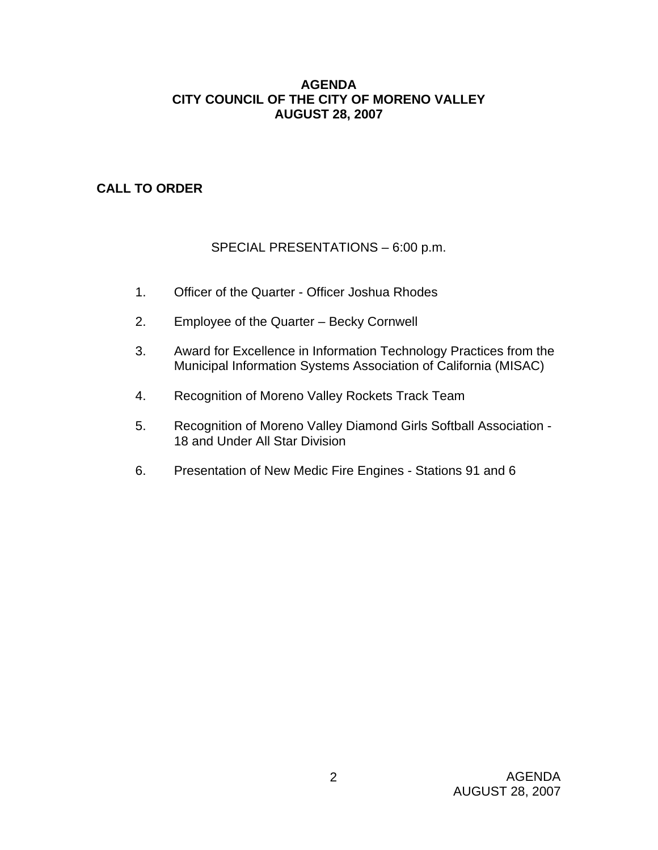## **AGENDA CITY COUNCIL OF THE CITY OF MORENO VALLEY AUGUST 28, 2007**

# **CALL TO ORDER**

# SPECIAL PRESENTATIONS – 6:00 p.m.

- 1. Officer of the Quarter Officer Joshua Rhodes
- 2. Employee of the Quarter Becky Cornwell
- 3. Award for Excellence in Information Technology Practices from the Municipal Information Systems Association of California (MISAC)
- 4. Recognition of Moreno Valley Rockets Track Team
- 5. Recognition of Moreno Valley Diamond Girls Softball Association 18 and Under All Star Division
- 6. Presentation of New Medic Fire Engines Stations 91 and 6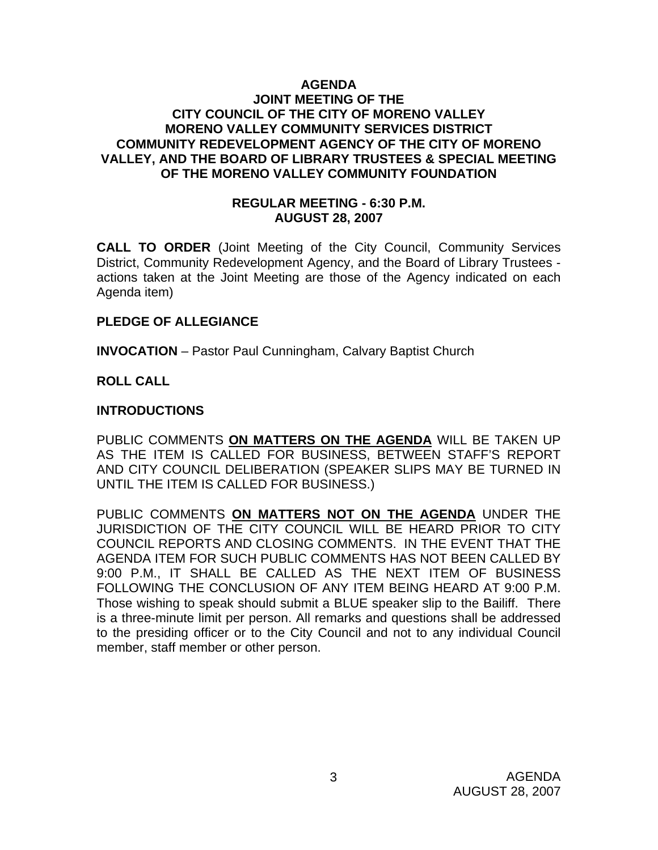## **AGENDA JOINT MEETING OF THE CITY COUNCIL OF THE CITY OF MORENO VALLEY MORENO VALLEY COMMUNITY SERVICES DISTRICT COMMUNITY REDEVELOPMENT AGENCY OF THE CITY OF MORENO VALLEY, AND THE BOARD OF LIBRARY TRUSTEES & SPECIAL MEETING OF THE MORENO VALLEY COMMUNITY FOUNDATION**

#### **REGULAR MEETING - 6:30 P.M. AUGUST 28, 2007**

**CALL TO ORDER** (Joint Meeting of the City Council, Community Services District, Community Redevelopment Agency, and the Board of Library Trustees actions taken at the Joint Meeting are those of the Agency indicated on each Agenda item)

#### **PLEDGE OF ALLEGIANCE**

**INVOCATION** – Pastor Paul Cunningham, Calvary Baptist Church

## **ROLL CALL**

#### **INTRODUCTIONS**

PUBLIC COMMENTS **ON MATTERS ON THE AGENDA** WILL BE TAKEN UP AS THE ITEM IS CALLED FOR BUSINESS, BETWEEN STAFF'S REPORT AND CITY COUNCIL DELIBERATION (SPEAKER SLIPS MAY BE TURNED IN UNTIL THE ITEM IS CALLED FOR BUSINESS.)

PUBLIC COMMENTS **ON MATTERS NOT ON THE AGENDA** UNDER THE JURISDICTION OF THE CITY COUNCIL WILL BE HEARD PRIOR TO CITY COUNCIL REPORTS AND CLOSING COMMENTS. IN THE EVENT THAT THE AGENDA ITEM FOR SUCH PUBLIC COMMENTS HAS NOT BEEN CALLED BY 9:00 P.M., IT SHALL BE CALLED AS THE NEXT ITEM OF BUSINESS FOLLOWING THE CONCLUSION OF ANY ITEM BEING HEARD AT 9:00 P.M. Those wishing to speak should submit a BLUE speaker slip to the Bailiff. There is a three-minute limit per person. All remarks and questions shall be addressed to the presiding officer or to the City Council and not to any individual Council member, staff member or other person.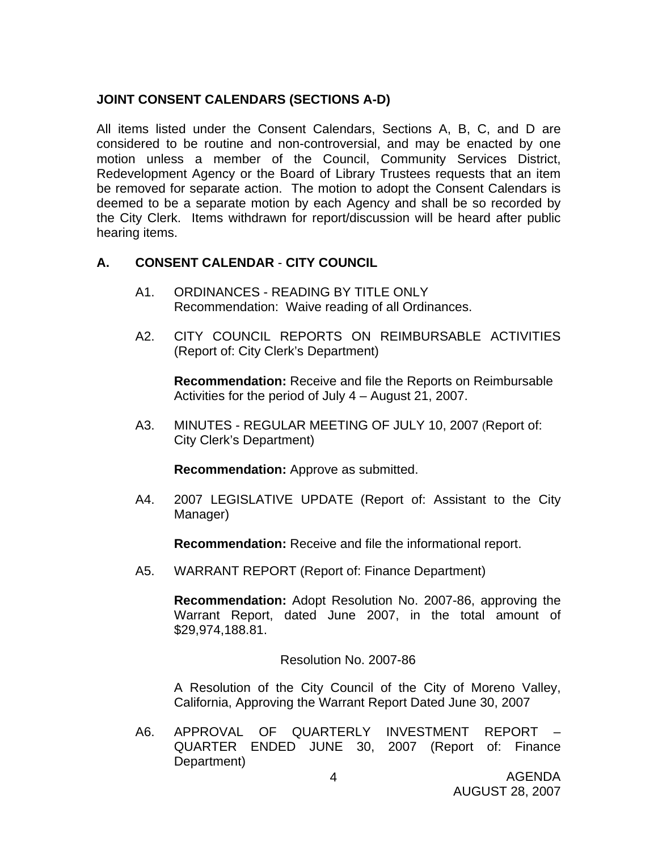# **JOINT CONSENT CALENDARS (SECTIONS A-D)**

All items listed under the Consent Calendars, Sections A, B, C, and D are considered to be routine and non-controversial, and may be enacted by one motion unless a member of the Council, Community Services District, Redevelopment Agency or the Board of Library Trustees requests that an item be removed for separate action. The motion to adopt the Consent Calendars is deemed to be a separate motion by each Agency and shall be so recorded by the City Clerk. Items withdrawn for report/discussion will be heard after public hearing items.

## **A. CONSENT CALENDAR** - **CITY COUNCIL**

- A1. ORDINANCES READING BY TITLE ONLY Recommendation: Waive reading of all Ordinances.
- A2. CITY COUNCIL REPORTS ON REIMBURSABLE ACTIVITIES (Report of: City Clerk's Department)

**Recommendation:** Receive and file the Reports on Reimbursable Activities for the period of July 4 – August 21, 2007.

A3. MINUTES - REGULAR MEETING OF JULY 10, 2007 (Report of: City Clerk's Department)

**Recommendation:** Approve as submitted.

A4. 2007 LEGISLATIVE UPDATE (Report of: Assistant to the City Manager)

**Recommendation:** Receive and file the informational report.

A5. WARRANT REPORT (Report of: Finance Department)

**Recommendation:** Adopt Resolution No. 2007-86, approving the Warrant Report, dated June 2007, in the total amount of \$29,974,188.81.

Resolution No. 2007-86

A Resolution of the City Council of the City of Moreno Valley, California, Approving the Warrant Report Dated June 30, 2007

A6. APPROVAL OF QUARTERLY INVESTMENT REPORT – QUARTER ENDED JUNE 30, 2007 (Report of: Finance Department)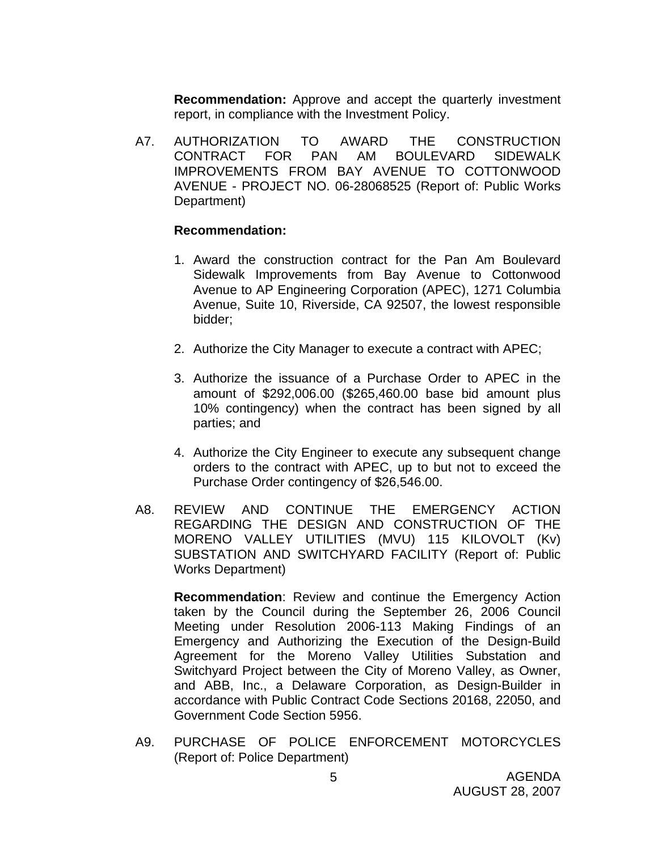**Recommendation:** Approve and accept the quarterly investment report, in compliance with the Investment Policy.

A7. AUTHORIZATION TO AWARD THE CONSTRUCTION CONTRACT FOR PAN AM BOULEVARD SIDEWALK IMPROVEMENTS FROM BAY AVENUE TO COTTONWOOD AVENUE - PROJECT NO. 06-28068525 (Report of: Public Works Department)

#### **Recommendation:**

- 1. Award the construction contract for the Pan Am Boulevard Sidewalk Improvements from Bay Avenue to Cottonwood Avenue to AP Engineering Corporation (APEC), 1271 Columbia Avenue, Suite 10, Riverside, CA 92507, the lowest responsible bidder;
- 2. Authorize the City Manager to execute a contract with APEC;
- 3. Authorize the issuance of a Purchase Order to APEC in the amount of \$292,006.00 (\$265,460.00 base bid amount plus 10% contingency) when the contract has been signed by all parties; and
- 4. Authorize the City Engineer to execute any subsequent change orders to the contract with APEC, up to but not to exceed the Purchase Order contingency of \$26,546.00.
- A8. REVIEW AND CONTINUE THE EMERGENCY ACTION REGARDING THE DESIGN AND CONSTRUCTION OF THE MORENO VALLEY UTILITIES (MVU) 115 KILOVOLT (Kv) SUBSTATION AND SWITCHYARD FACILITY (Report of: Public Works Department)

**Recommendation**: Review and continue the Emergency Action taken by the Council during the September 26, 2006 Council Meeting under Resolution 2006-113 Making Findings of an Emergency and Authorizing the Execution of the Design-Build Agreement for the Moreno Valley Utilities Substation and Switchyard Project between the City of Moreno Valley, as Owner, and ABB, Inc., a Delaware Corporation, as Design-Builder in accordance with Public Contract Code Sections 20168, 22050, and Government Code Section 5956.

A9. PURCHASE OF POLICE ENFORCEMENT MOTORCYCLES (Report of: Police Department)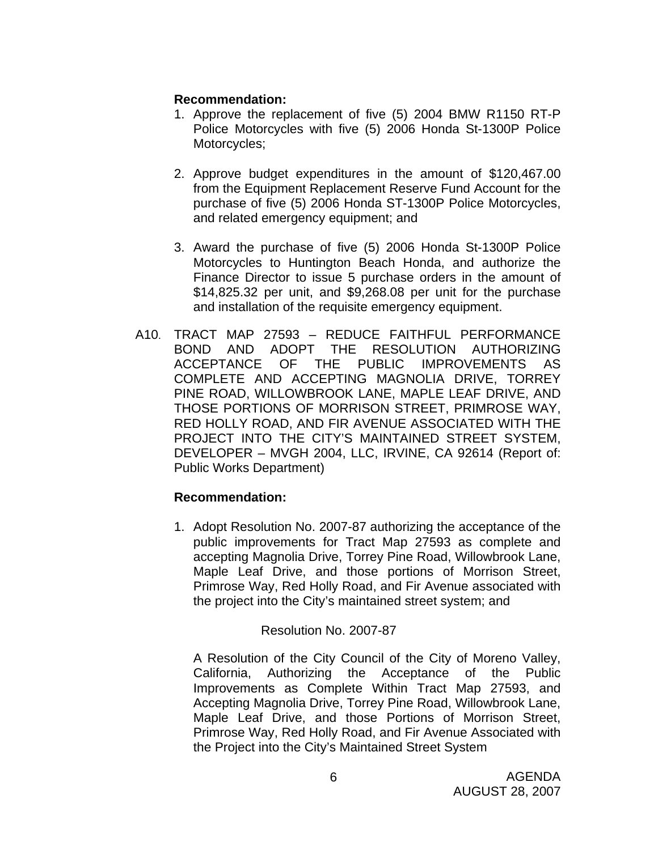## **Recommendation:**

- 1. Approve the replacement of five (5) 2004 BMW R1150 RT-P Police Motorcycles with five (5) 2006 Honda St-1300P Police Motorcycles;
- 2. Approve budget expenditures in the amount of \$120,467.00 from the Equipment Replacement Reserve Fund Account for the purchase of five (5) 2006 Honda ST-1300P Police Motorcycles, and related emergency equipment; and
- 3. Award the purchase of five (5) 2006 Honda St-1300P Police Motorcycles to Huntington Beach Honda, and authorize the Finance Director to issue 5 purchase orders in the amount of \$14,825.32 per unit, and \$9,268.08 per unit for the purchase and installation of the requisite emergency equipment.
- A10. TRACT MAP 27593 REDUCE FAITHFUL PERFORMANCE BOND AND ADOPT THE RESOLUTION AUTHORIZING ACCEPTANCE OF THE PUBLIC IMPROVEMENTS AS COMPLETE AND ACCEPTING MAGNOLIA DRIVE, TORREY PINE ROAD, WILLOWBROOK LANE, MAPLE LEAF DRIVE, AND THOSE PORTIONS OF MORRISON STREET, PRIMROSE WAY, RED HOLLY ROAD, AND FIR AVENUE ASSOCIATED WITH THE PROJECT INTO THE CITY'S MAINTAINED STREET SYSTEM, DEVELOPER – MVGH 2004, LLC, IRVINE, CA 92614 (Report of: Public Works Department)

## **Recommendation:**

1. Adopt Resolution No. 2007-87 authorizing the acceptance of the public improvements for Tract Map 27593 as complete and accepting Magnolia Drive, Torrey Pine Road, Willowbrook Lane, Maple Leaf Drive, and those portions of Morrison Street, Primrose Way, Red Holly Road, and Fir Avenue associated with the project into the City's maintained street system; and

## Resolution No. 2007-87

A Resolution of the City Council of the City of Moreno Valley, California, Authorizing the Acceptance of the Public Improvements as Complete Within Tract Map 27593, and Accepting Magnolia Drive, Torrey Pine Road, Willowbrook Lane, Maple Leaf Drive, and those Portions of Morrison Street, Primrose Way, Red Holly Road, and Fir Avenue Associated with the Project into the City's Maintained Street System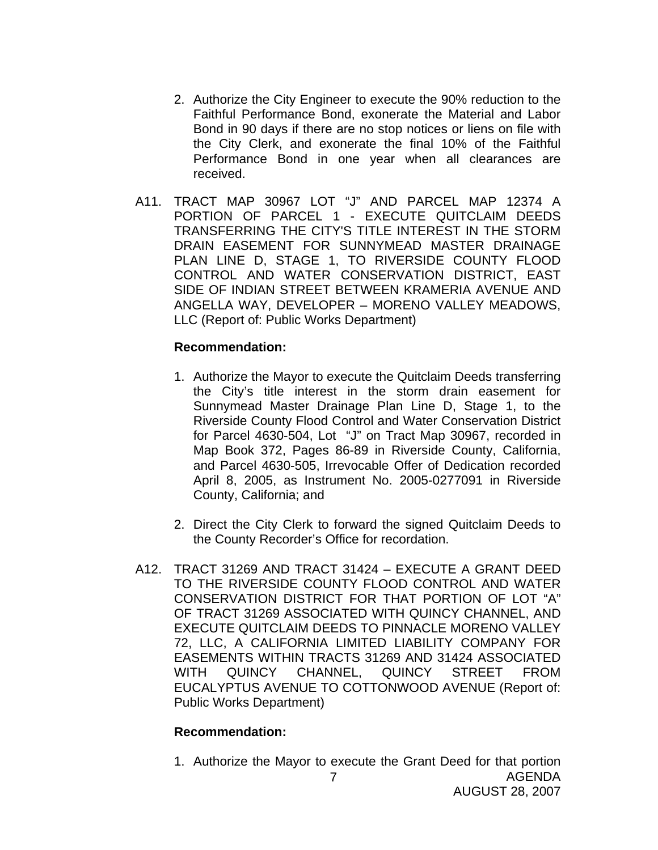- 2. Authorize the City Engineer to execute the 90% reduction to the Faithful Performance Bond, exonerate the Material and Labor Bond in 90 days if there are no stop notices or liens on file with the City Clerk, and exonerate the final 10% of the Faithful Performance Bond in one year when all clearances are received.
- A11. TRACT MAP 30967 LOT "J" AND PARCEL MAP 12374 A PORTION OF PARCEL 1 - EXECUTE QUITCLAIM DEEDS TRANSFERRING THE CITY'S TITLE INTEREST IN THE STORM DRAIN EASEMENT FOR SUNNYMEAD MASTER DRAINAGE PLAN LINE D, STAGE 1, TO RIVERSIDE COUNTY FLOOD CONTROL AND WATER CONSERVATION DISTRICT, EAST SIDE OF INDIAN STREET BETWEEN KRAMERIA AVENUE AND ANGELLA WAY, DEVELOPER – MORENO VALLEY MEADOWS, LLC (Report of: Public Works Department)

#### **Recommendation:**

- 1. Authorize the Mayor to execute the Quitclaim Deeds transferring the City's title interest in the storm drain easement for Sunnymead Master Drainage Plan Line D, Stage 1, to the Riverside County Flood Control and Water Conservation District for Parcel 4630-504, Lot "J" on Tract Map 30967, recorded in Map Book 372, Pages 86-89 in Riverside County, California, and Parcel 4630-505, Irrevocable Offer of Dedication recorded April 8, 2005, as Instrument No. 2005-0277091 in Riverside County, California; and
- 2. Direct the City Clerk to forward the signed Quitclaim Deeds to the County Recorder's Office for recordation.
- A12. TRACT 31269 AND TRACT 31424 EXECUTE A GRANT DEED TO THE RIVERSIDE COUNTY FLOOD CONTROL AND WATER CONSERVATION DISTRICT FOR THAT PORTION OF LOT "A" OF TRACT 31269 ASSOCIATED WITH QUINCY CHANNEL, AND EXECUTE QUITCLAIM DEEDS TO PINNACLE MORENO VALLEY 72, LLC, A CALIFORNIA LIMITED LIABILITY COMPANY FOR EASEMENTS WITHIN TRACTS 31269 AND 31424 ASSOCIATED WITH QUINCY CHANNEL, QUINCY STREET FROM EUCALYPTUS AVENUE TO COTTONWOOD AVENUE (Report of: Public Works Department)

#### **Recommendation:**

AGENDA AUGUST 28, 2007 7 1. Authorize the Mayor to execute the Grant Deed for that portion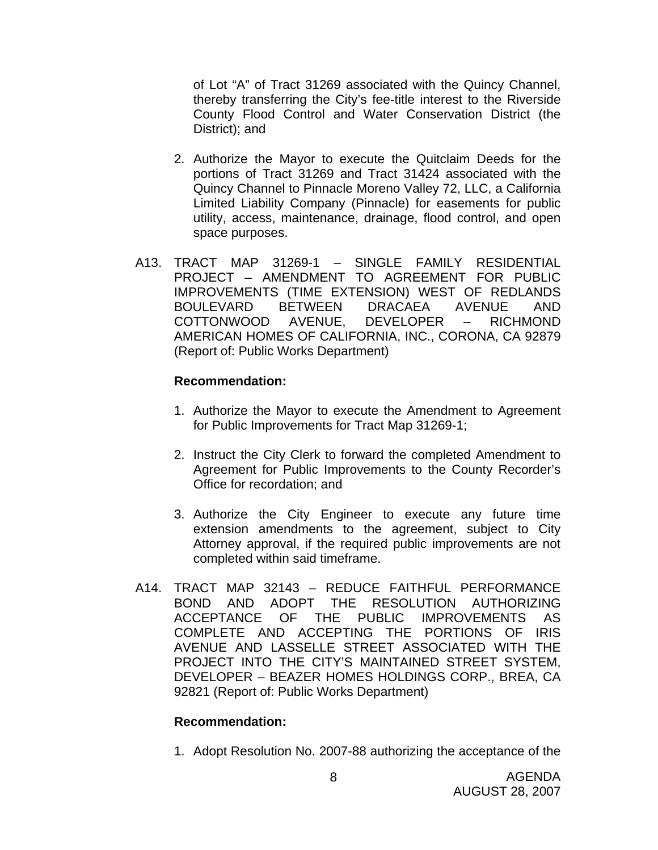of Lot "A" of Tract 31269 associated with the Quincy Channel, thereby transferring the City's fee-title interest to the Riverside County Flood Control and Water Conservation District (the District); and

- 2. Authorize the Mayor to execute the Quitclaim Deeds for the portions of Tract 31269 and Tract 31424 associated with the Quincy Channel to Pinnacle Moreno Valley 72, LLC, a California Limited Liability Company (Pinnacle) for easements for public utility, access, maintenance, drainage, flood control, and open space purposes.
- A13. TRACT MAP 31269-1 SINGLE FAMILY RESIDENTIAL PROJECT – AMENDMENT TO AGREEMENT FOR PUBLIC IMPROVEMENTS (TIME EXTENSION) WEST OF REDLANDS BOULEVARD BETWEEN DRACAEA AVENUE AND COTTONWOOD AVENUE, DEVELOPER – RICHMOND AMERICAN HOMES OF CALIFORNIA, INC., CORONA, CA 92879 (Report of: Public Works Department)

#### **Recommendation:**

- 1. Authorize the Mayor to execute the Amendment to Agreement for Public Improvements for Tract Map 31269-1;
- 2. Instruct the City Clerk to forward the completed Amendment to Agreement for Public Improvements to the County Recorder's Office for recordation; and
- 3. Authorize the City Engineer to execute any future time extension amendments to the agreement, subject to City Attorney approval, if the required public improvements are not completed within said timeframe.
- A14. TRACT MAP 32143 REDUCE FAITHFUL PERFORMANCE BOND AND ADOPT THE RESOLUTION AUTHORIZING ACCEPTANCE OF THE PUBLIC IMPROVEMENTS AS COMPLETE AND ACCEPTING THE PORTIONS OF IRIS AVENUE AND LASSELLE STREET ASSOCIATED WITH THE PROJECT INTO THE CITY'S MAINTAINED STREET SYSTEM, DEVELOPER – BEAZER HOMES HOLDINGS CORP., BREA, CA 92821 (Report of: Public Works Department)

## **Recommendation:**

1. Adopt Resolution No. 2007-88 authorizing the acceptance of the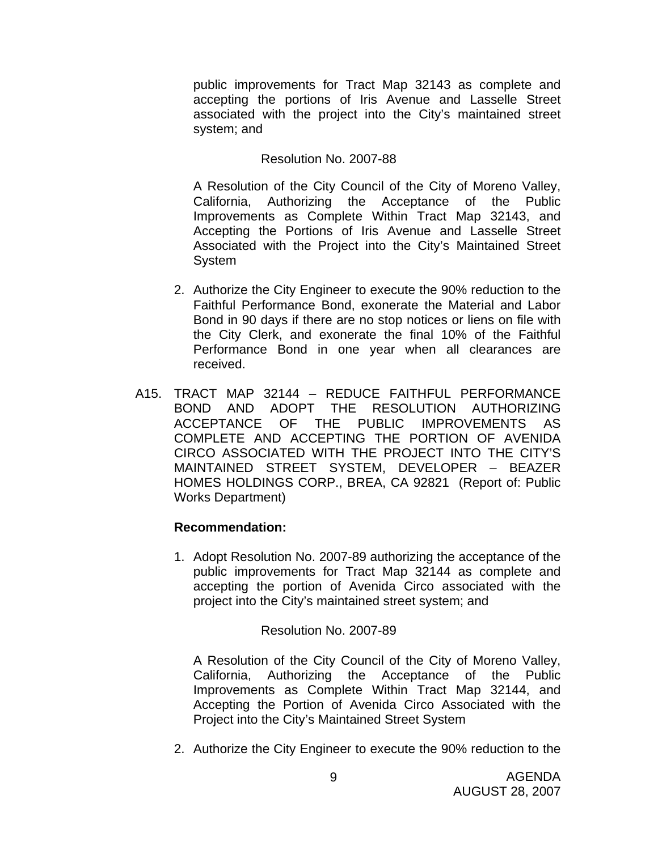public improvements for Tract Map 32143 as complete and accepting the portions of Iris Avenue and Lasselle Street associated with the project into the City's maintained street system; and

## Resolution No. 2007-88

A Resolution of the City Council of the City of Moreno Valley, California, Authorizing the Acceptance of the Public Improvements as Complete Within Tract Map 32143, and Accepting the Portions of Iris Avenue and Lasselle Street Associated with the Project into the City's Maintained Street System

- 2. Authorize the City Engineer to execute the 90% reduction to the Faithful Performance Bond, exonerate the Material and Labor Bond in 90 days if there are no stop notices or liens on file with the City Clerk, and exonerate the final 10% of the Faithful Performance Bond in one year when all clearances are received.
- A15. TRACT MAP 32144 REDUCE FAITHFUL PERFORMANCE BOND AND ADOPT THE RESOLUTION AUTHORIZING ACCEPTANCE OF THE PUBLIC IMPROVEMENTS AS COMPLETE AND ACCEPTING THE PORTION OF AVENIDA CIRCO ASSOCIATED WITH THE PROJECT INTO THE CITY'S MAINTAINED STREET SYSTEM, DEVELOPER – BEAZER HOMES HOLDINGS CORP., BREA, CA 92821 (Report of: Public Works Department)

## **Recommendation:**

1. Adopt Resolution No. 2007-89 authorizing the acceptance of the public improvements for Tract Map 32144 as complete and accepting the portion of Avenida Circo associated with the project into the City's maintained street system; and

## Resolution No. 2007-89

A Resolution of the City Council of the City of Moreno Valley, California, Authorizing the Acceptance of the Public Improvements as Complete Within Tract Map 32144, and Accepting the Portion of Avenida Circo Associated with the Project into the City's Maintained Street System

2. Authorize the City Engineer to execute the 90% reduction to the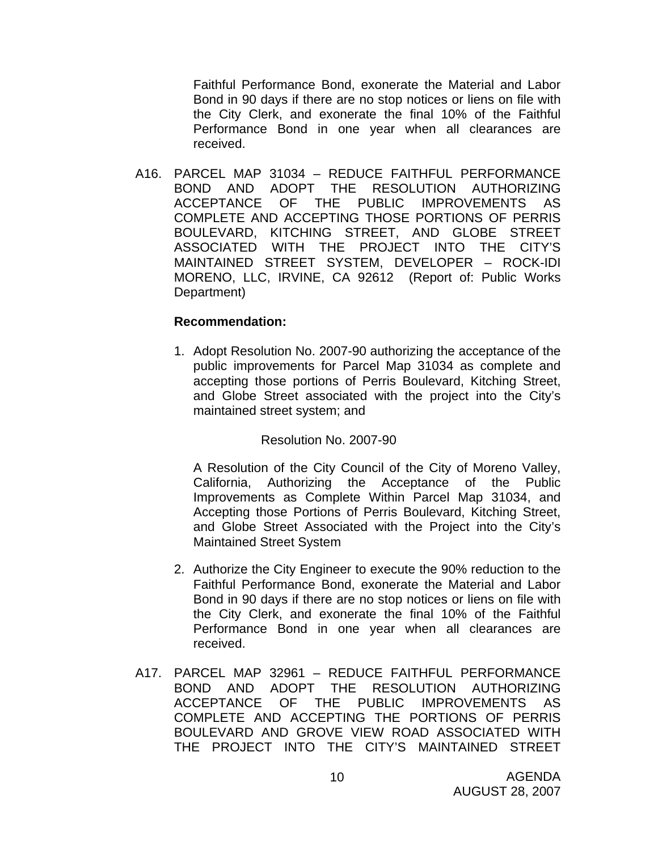Faithful Performance Bond, exonerate the Material and Labor Bond in 90 days if there are no stop notices or liens on file with the City Clerk, and exonerate the final 10% of the Faithful Performance Bond in one year when all clearances are received.

A16. PARCEL MAP 31034 – REDUCE FAITHFUL PERFORMANCE BOND AND ADOPT THE RESOLUTION AUTHORIZING ACCEPTANCE OF THE PUBLIC IMPROVEMENTS AS COMPLETE AND ACCEPTING THOSE PORTIONS OF PERRIS BOULEVARD, KITCHING STREET, AND GLOBE STREET ASSOCIATED WITH THE PROJECT INTO THE CITY'S MAINTAINED STREET SYSTEM, DEVELOPER – ROCK-IDI MORENO, LLC, IRVINE, CA 92612 (Report of: Public Works Department)

#### **Recommendation:**

1. Adopt Resolution No. 2007-90 authorizing the acceptance of the public improvements for Parcel Map 31034 as complete and accepting those portions of Perris Boulevard, Kitching Street, and Globe Street associated with the project into the City's maintained street system; and

## Resolution No. 2007-90

A Resolution of the City Council of the City of Moreno Valley, California, Authorizing the Acceptance of the Public Improvements as Complete Within Parcel Map 31034, and Accepting those Portions of Perris Boulevard, Kitching Street, and Globe Street Associated with the Project into the City's Maintained Street System

- 2. Authorize the City Engineer to execute the 90% reduction to the Faithful Performance Bond, exonerate the Material and Labor Bond in 90 days if there are no stop notices or liens on file with the City Clerk, and exonerate the final 10% of the Faithful Performance Bond in one year when all clearances are received.
- A17. PARCEL MAP 32961 REDUCE FAITHFUL PERFORMANCE BOND AND ADOPT THE RESOLUTION AUTHORIZING ACCEPTANCE OF THE PUBLIC IMPROVEMENTS AS COMPLETE AND ACCEPTING THE PORTIONS OF PERRIS BOULEVARD AND GROVE VIEW ROAD ASSOCIATED WITH THE PROJECT INTO THE CITY'S MAINTAINED STREET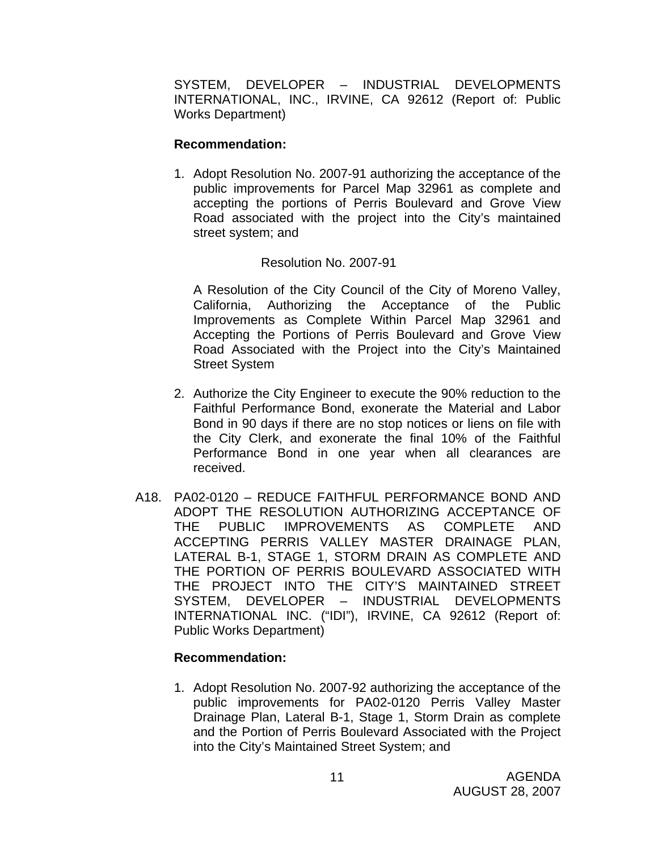SYSTEM, DEVELOPER – INDUSTRIAL DEVELOPMENTS INTERNATIONAL, INC., IRVINE, CA 92612 (Report of: Public Works Department)

#### **Recommendation:**

1. Adopt Resolution No. 2007-91 authorizing the acceptance of the public improvements for Parcel Map 32961 as complete and accepting the portions of Perris Boulevard and Grove View Road associated with the project into the City's maintained street system; and

## Resolution No. 2007-91

 A Resolution of the City Council of the City of Moreno Valley, California, Authorizing the Acceptance of the Public Improvements as Complete Within Parcel Map 32961 and Accepting the Portions of Perris Boulevard and Grove View Road Associated with the Project into the City's Maintained Street System

- 2. Authorize the City Engineer to execute the 90% reduction to the Faithful Performance Bond, exonerate the Material and Labor Bond in 90 days if there are no stop notices or liens on file with the City Clerk, and exonerate the final 10% of the Faithful Performance Bond in one year when all clearances are received.
- A18. PA02-0120 REDUCE FAITHFUL PERFORMANCE BOND AND ADOPT THE RESOLUTION AUTHORIZING ACCEPTANCE OF THE PUBLIC IMPROVEMENTS AS COMPLETE AND ACCEPTING PERRIS VALLEY MASTER DRAINAGE PLAN, LATERAL B-1, STAGE 1, STORM DRAIN AS COMPLETE AND THE PORTION OF PERRIS BOULEVARD ASSOCIATED WITH THE PROJECT INTO THE CITY'S MAINTAINED STREET SYSTEM, DEVELOPER – INDUSTRIAL DEVELOPMENTS INTERNATIONAL INC. ("IDI"), IRVINE, CA 92612 (Report of: Public Works Department)

## **Recommendation:**

1. Adopt Resolution No. 2007-92 authorizing the acceptance of the public improvements for PA02-0120 Perris Valley Master Drainage Plan, Lateral B-1, Stage 1, Storm Drain as complete and the Portion of Perris Boulevard Associated with the Project into the City's Maintained Street System; and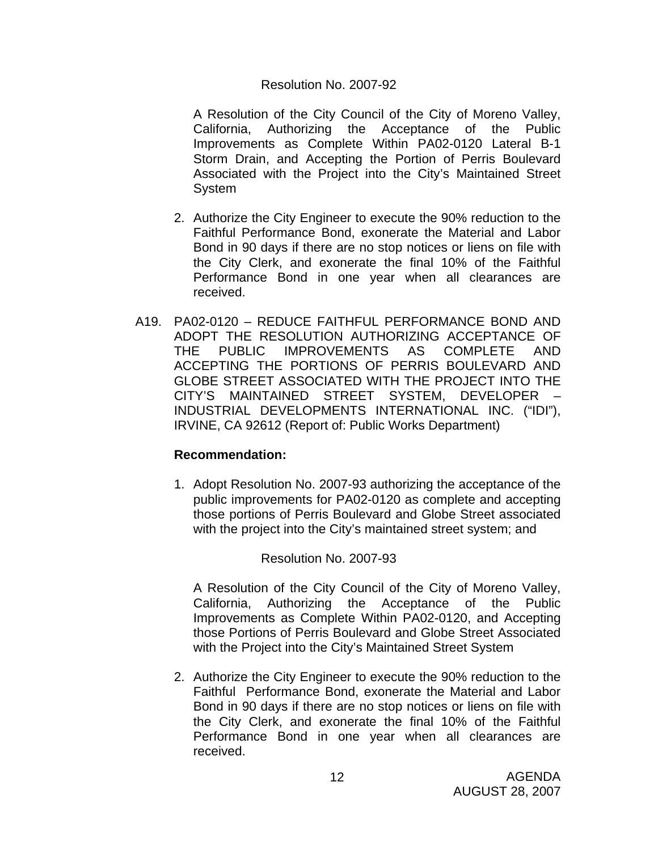## Resolution No. 2007-92

A Resolution of the City Council of the City of Moreno Valley, California, Authorizing the Acceptance of the Public Improvements as Complete Within PA02-0120 Lateral B-1 Storm Drain, and Accepting the Portion of Perris Boulevard Associated with the Project into the City's Maintained Street System

- 2. Authorize the City Engineer to execute the 90% reduction to the Faithful Performance Bond, exonerate the Material and Labor Bond in 90 days if there are no stop notices or liens on file with the City Clerk, and exonerate the final 10% of the Faithful Performance Bond in one year when all clearances are received.
- A19. PA02-0120 REDUCE FAITHFUL PERFORMANCE BOND AND ADOPT THE RESOLUTION AUTHORIZING ACCEPTANCE OF THE PUBLIC IMPROVEMENTS AS COMPLETE AND ACCEPTING THE PORTIONS OF PERRIS BOULEVARD AND GLOBE STREET ASSOCIATED WITH THE PROJECT INTO THE CITY'S MAINTAINED STREET SYSTEM, DEVELOPER – INDUSTRIAL DEVELOPMENTS INTERNATIONAL INC. ("IDI"), IRVINE, CA 92612 (Report of: Public Works Department)

## **Recommendation:**

1. Adopt Resolution No. 2007-93 authorizing the acceptance of the public improvements for PA02-0120 as complete and accepting those portions of Perris Boulevard and Globe Street associated with the project into the City's maintained street system; and

Resolution No. 2007-93

A Resolution of the City Council of the City of Moreno Valley, California, Authorizing the Acceptance of the Public Improvements as Complete Within PA02-0120, and Accepting those Portions of Perris Boulevard and Globe Street Associated with the Project into the City's Maintained Street System

2. Authorize the City Engineer to execute the 90% reduction to the Faithful Performance Bond, exonerate the Material and Labor Bond in 90 days if there are no stop notices or liens on file with the City Clerk, and exonerate the final 10% of the Faithful Performance Bond in one year when all clearances are received.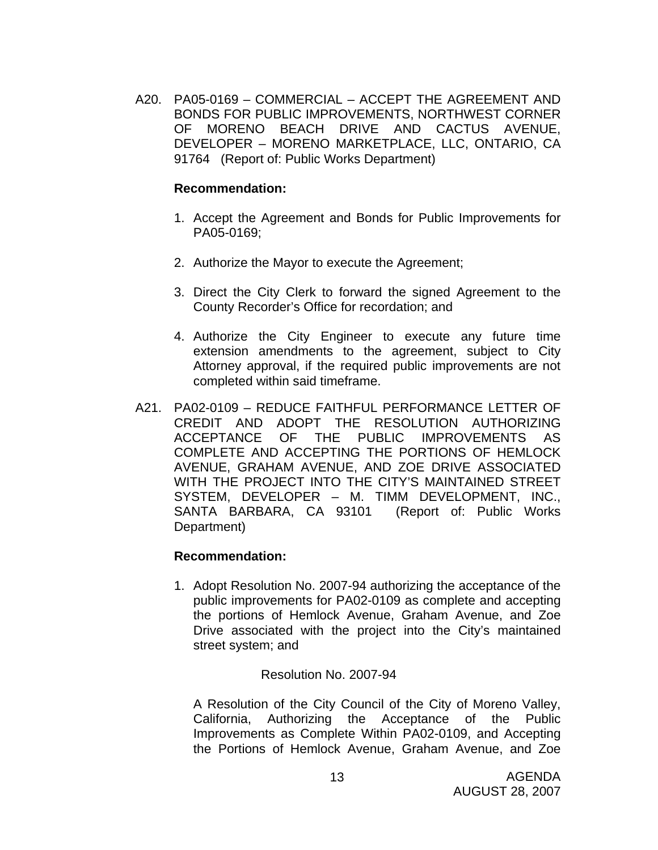A20. PA05-0169 – COMMERCIAL – ACCEPT THE AGREEMENT AND BONDS FOR PUBLIC IMPROVEMENTS, NORTHWEST CORNER OF MORENO BEACH DRIVE AND CACTUS AVENUE, DEVELOPER – MORENO MARKETPLACE, LLC, ONTARIO, CA 91764 (Report of: Public Works Department)

#### **Recommendation:**

- 1. Accept the Agreement and Bonds for Public Improvements for PA05-0169;
- 2. Authorize the Mayor to execute the Agreement;
- 3. Direct the City Clerk to forward the signed Agreement to the County Recorder's Office for recordation; and
- 4. Authorize the City Engineer to execute any future time extension amendments to the agreement, subject to City Attorney approval, if the required public improvements are not completed within said timeframe.
- A21. PA02-0109 REDUCE FAITHFUL PERFORMANCE LETTER OF CREDIT AND ADOPT THE RESOLUTION AUTHORIZING ACCEPTANCE OF THE PUBLIC IMPROVEMENTS AS COMPLETE AND ACCEPTING THE PORTIONS OF HEMLOCK AVENUE, GRAHAM AVENUE, AND ZOE DRIVE ASSOCIATED WITH THE PROJECT INTO THE CITY'S MAINTAINED STREET SYSTEM, DEVELOPER – M. TIMM DEVELOPMENT, INC., SANTA BARBARA, CA 93101 (Report of: Public Works Department)

## **Recommendation:**

1. Adopt Resolution No. 2007-94 authorizing the acceptance of the public improvements for PA02-0109 as complete and accepting the portions of Hemlock Avenue, Graham Avenue, and Zoe Drive associated with the project into the City's maintained street system; and

## Resolution No. 2007-94

A Resolution of the City Council of the City of Moreno Valley, California, Authorizing the Acceptance of the Public Improvements as Complete Within PA02-0109, and Accepting the Portions of Hemlock Avenue, Graham Avenue, and Zoe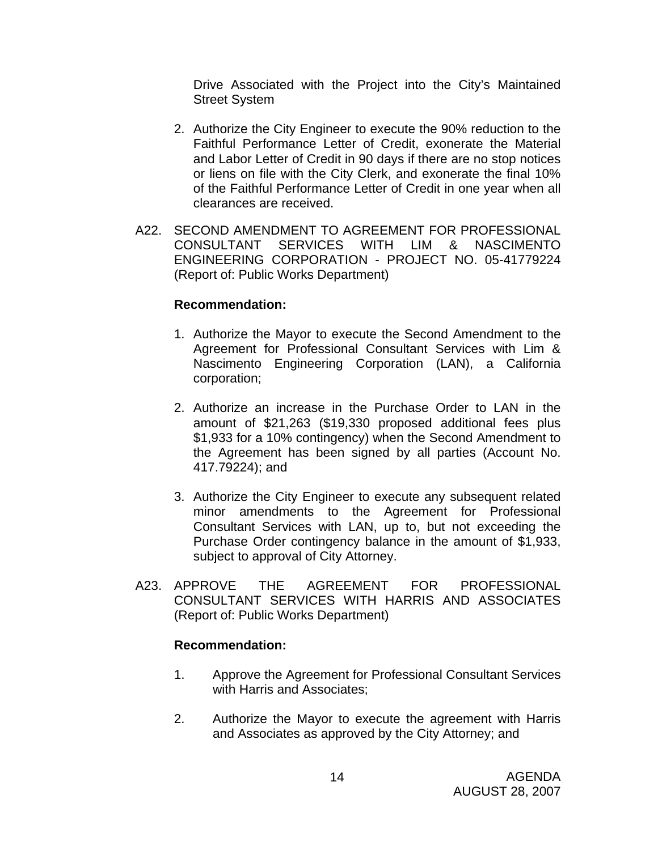Drive Associated with the Project into the City's Maintained Street System

- 2. Authorize the City Engineer to execute the 90% reduction to the Faithful Performance Letter of Credit, exonerate the Material and Labor Letter of Credit in 90 days if there are no stop notices or liens on file with the City Clerk, and exonerate the final 10% of the Faithful Performance Letter of Credit in one year when all clearances are received.
- A22. SECOND AMENDMENT TO AGREEMENT FOR PROFESSIONAL CONSULTANT SERVICES WITH LIM & NASCIMENTO ENGINEERING CORPORATION - PROJECT NO. 05-41779224 (Report of: Public Works Department)

#### **Recommendation:**

- 1. Authorize the Mayor to execute the Second Amendment to the Agreement for Professional Consultant Services with Lim & Nascimento Engineering Corporation (LAN), a California corporation;
- 2. Authorize an increase in the Purchase Order to LAN in the amount of \$21,263 (\$19,330 proposed additional fees plus \$1,933 for a 10% contingency) when the Second Amendment to the Agreement has been signed by all parties (Account No. 417.79224); and
- 3. Authorize the City Engineer to execute any subsequent related minor amendments to the Agreement for Professional Consultant Services with LAN, up to, but not exceeding the Purchase Order contingency balance in the amount of \$1,933, subject to approval of City Attorney.
- A23. APPROVE THE AGREEMENT FOR PROFESSIONAL CONSULTANT SERVICES WITH HARRIS AND ASSOCIATES (Report of: Public Works Department)

- 1. Approve the Agreement for Professional Consultant Services with Harris and Associates;
- 2. Authorize the Mayor to execute the agreement with Harris and Associates as approved by the City Attorney; and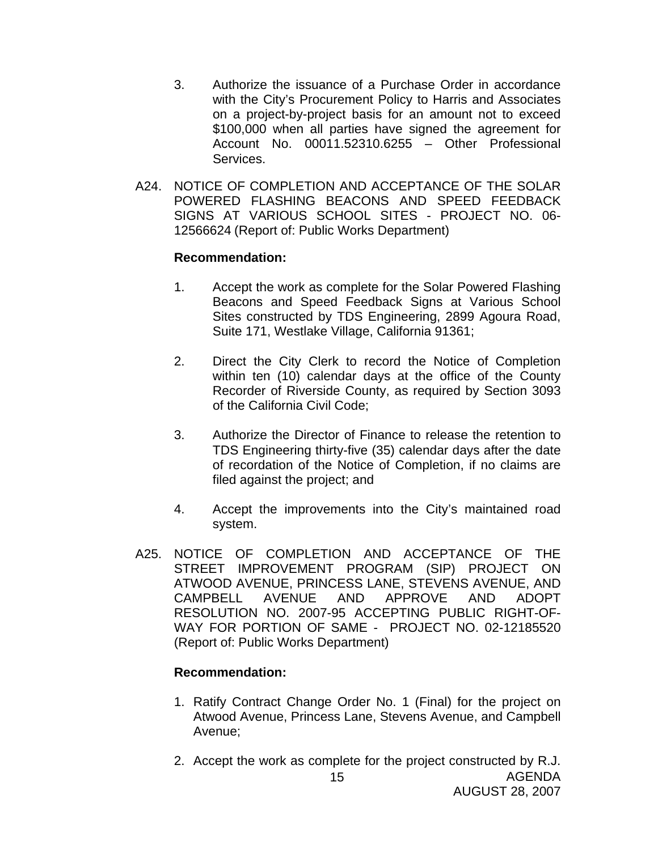- 3. Authorize the issuance of a Purchase Order in accordance with the City's Procurement Policy to Harris and Associates on a project-by-project basis for an amount not to exceed \$100,000 when all parties have signed the agreement for Account No. 00011.52310.6255 – Other Professional Services.
- A24. NOTICE OF COMPLETION AND ACCEPTANCE OF THE SOLAR POWERED FLASHING BEACONS AND SPEED FEEDBACK SIGNS AT VARIOUS SCHOOL SITES - PROJECT NO. 06- 12566624 (Report of: Public Works Department)

#### **Recommendation:**

- 1. Accept the work as complete for the Solar Powered Flashing Beacons and Speed Feedback Signs at Various School Sites constructed by TDS Engineering, 2899 Agoura Road, Suite 171, Westlake Village, California 91361;
- 2. Direct the City Clerk to record the Notice of Completion within ten (10) calendar days at the office of the County Recorder of Riverside County, as required by Section 3093 of the California Civil Code;
- 3. Authorize the Director of Finance to release the retention to TDS Engineering thirty-five (35) calendar days after the date of recordation of the Notice of Completion, if no claims are filed against the project; and
- 4. Accept the improvements into the City's maintained road system.
- A25. NOTICE OF COMPLETION AND ACCEPTANCE OF THE STREET IMPROVEMENT PROGRAM (SIP) PROJECT ON ATWOOD AVENUE, PRINCESS LANE, STEVENS AVENUE, AND CAMPBELL AVENUE AND APPROVE AND ADOPT RESOLUTION NO. 2007-95 ACCEPTING PUBLIC RIGHT-OF-WAY FOR PORTION OF SAME - PROJECT NO. 02-12185520 (Report of: Public Works Department)

- 1. Ratify Contract Change Order No. 1 (Final) for the project on Atwood Avenue, Princess Lane, Stevens Avenue, and Campbell Avenue;
- 2. Accept the work as complete for the project constructed by R.J.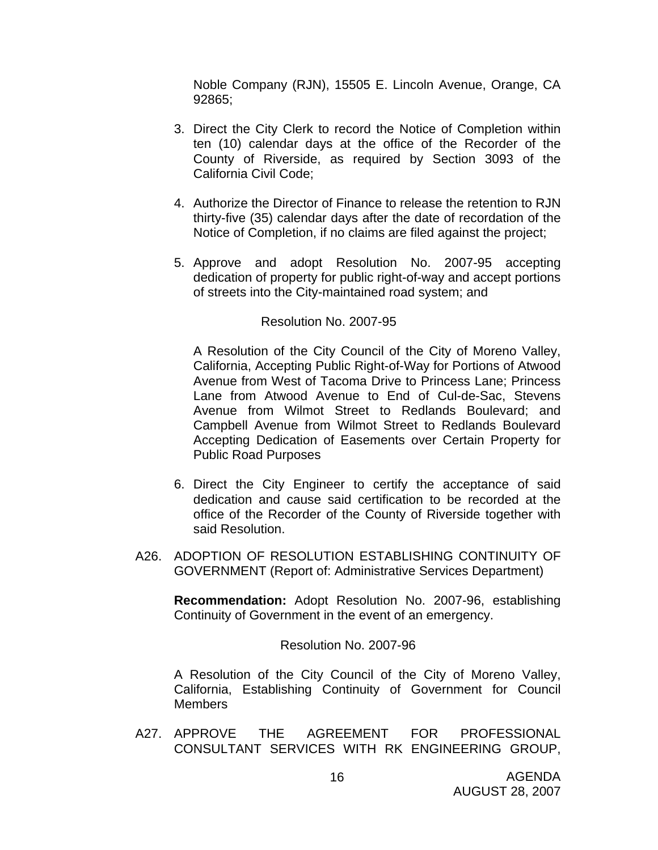Noble Company (RJN), 15505 E. Lincoln Avenue, Orange, CA 92865;

- 3. Direct the City Clerk to record the Notice of Completion within ten (10) calendar days at the office of the Recorder of the County of Riverside, as required by Section 3093 of the California Civil Code;
- 4. Authorize the Director of Finance to release the retention to RJN thirty-five (35) calendar days after the date of recordation of the Notice of Completion, if no claims are filed against the project;
- 5. Approve and adopt Resolution No. 2007-95 accepting dedication of property for public right-of-way and accept portions of streets into the City-maintained road system; and

#### Resolution No. 2007-95

A Resolution of the City Council of the City of Moreno Valley, California, Accepting Public Right-of-Way for Portions of Atwood Avenue from West of Tacoma Drive to Princess Lane; Princess Lane from Atwood Avenue to End of Cul-de-Sac, Stevens Avenue from Wilmot Street to Redlands Boulevard; and Campbell Avenue from Wilmot Street to Redlands Boulevard Accepting Dedication of Easements over Certain Property for Public Road Purposes

- 6. Direct the City Engineer to certify the acceptance of said dedication and cause said certification to be recorded at the office of the Recorder of the County of Riverside together with said Resolution.
- A26. ADOPTION OF RESOLUTION ESTABLISHING CONTINUITY OF GOVERNMENT (Report of: Administrative Services Department)

**Recommendation:** Adopt Resolution No. 2007-96, establishing Continuity of Government in the event of an emergency.

#### Resolution No. 2007-96

A Resolution of the City Council of the City of Moreno Valley, California, Establishing Continuity of Government for Council **Members** 

A27. APPROVE THE AGREEMENT FOR PROFESSIONAL CONSULTANT SERVICES WITH RK ENGINEERING GROUP,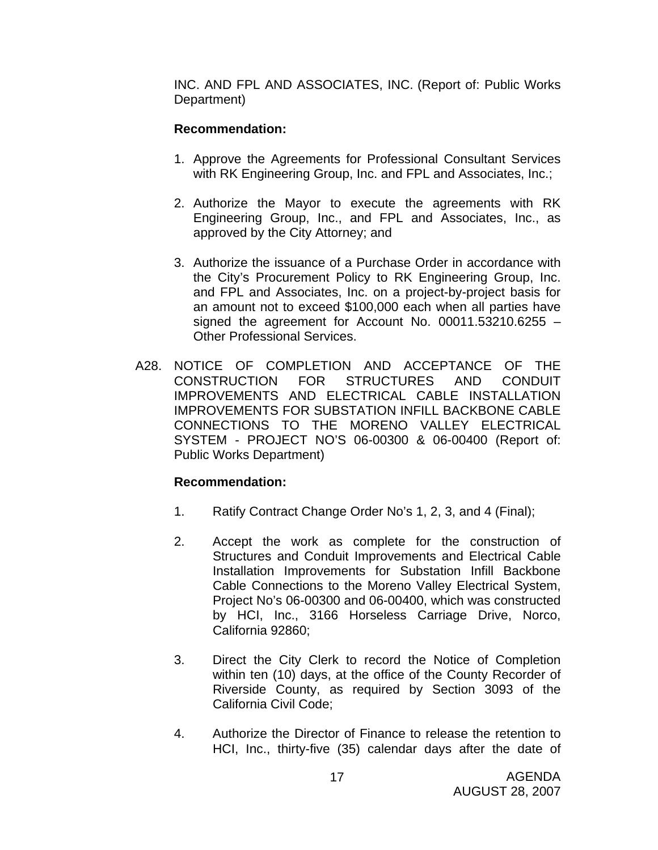INC. AND FPL AND ASSOCIATES, INC. (Report of: Public Works Department)

# **Recommendation:**

- 1. Approve the Agreements for Professional Consultant Services with RK Engineering Group, Inc. and FPL and Associates, Inc.;
- 2. Authorize the Mayor to execute the agreements with RK Engineering Group, Inc., and FPL and Associates, Inc., as approved by the City Attorney; and
- 3. Authorize the issuance of a Purchase Order in accordance with the City's Procurement Policy to RK Engineering Group, Inc. and FPL and Associates, Inc. on a project-by-project basis for an amount not to exceed \$100,000 each when all parties have signed the agreement for Account No. 00011.53210.6255  $-$ Other Professional Services.
- A28. NOTICE OF COMPLETION AND ACCEPTANCE OF THE CONSTRUCTION FOR STRUCTURES AND CONDUIT IMPROVEMENTS AND ELECTRICAL CABLE INSTALLATION IMPROVEMENTS FOR SUBSTATION INFILL BACKBONE CABLE CONNECTIONS TO THE MORENO VALLEY ELECTRICAL SYSTEM - PROJECT NO'S 06-00300 & 06-00400 (Report of: Public Works Department)

- 1. Ratify Contract Change Order No's 1, 2, 3, and 4 (Final);
- 2. Accept the work as complete for the construction of Structures and Conduit Improvements and Electrical Cable Installation Improvements for Substation Infill Backbone Cable Connections to the Moreno Valley Electrical System, Project No's 06-00300 and 06-00400, which was constructed by HCI, Inc., 3166 Horseless Carriage Drive, Norco, California 92860;
- 3. Direct the City Clerk to record the Notice of Completion within ten (10) days, at the office of the County Recorder of Riverside County, as required by Section 3093 of the California Civil Code;
- 4. Authorize the Director of Finance to release the retention to HCI, Inc., thirty-five (35) calendar days after the date of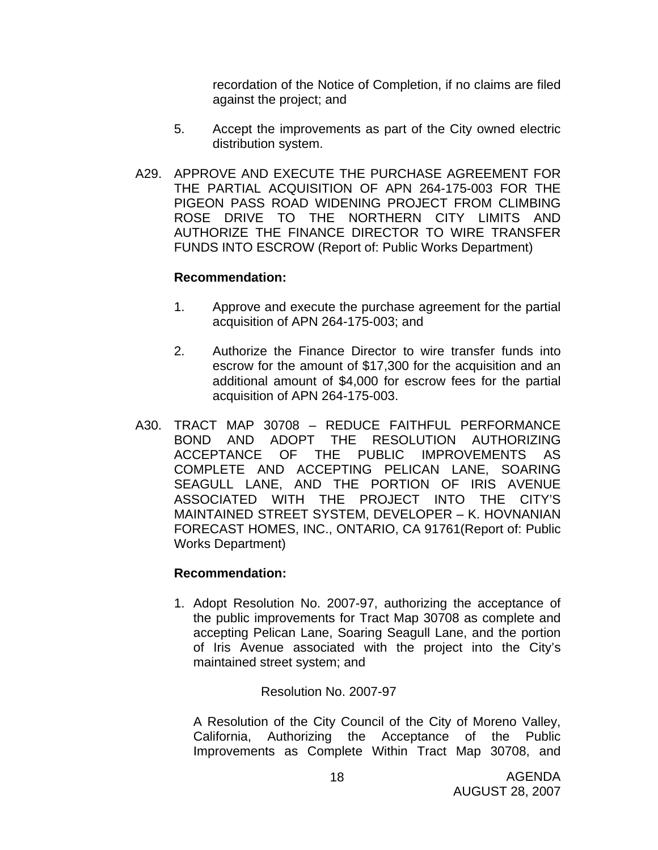recordation of the Notice of Completion, if no claims are filed against the project; and

- 5. Accept the improvements as part of the City owned electric distribution system.
- A29. APPROVE AND EXECUTE THE PURCHASE AGREEMENT FOR THE PARTIAL ACQUISITION OF APN 264-175-003 FOR THE PIGEON PASS ROAD WIDENING PROJECT FROM CLIMBING ROSE DRIVE TO THE NORTHERN CITY LIMITS AND AUTHORIZE THE FINANCE DIRECTOR TO WIRE TRANSFER FUNDS INTO ESCROW (Report of: Public Works Department)

## **Recommendation:**

- 1. Approve and execute the purchase agreement for the partial acquisition of APN 264-175-003; and
- 2. Authorize the Finance Director to wire transfer funds into escrow for the amount of \$17,300 for the acquisition and an additional amount of \$4,000 for escrow fees for the partial acquisition of APN 264-175-003.
- A30. TRACT MAP 30708 REDUCE FAITHFUL PERFORMANCE BOND AND ADOPT THE RESOLUTION AUTHORIZING ACCEPTANCE OF THE PUBLIC IMPROVEMENTS AS COMPLETE AND ACCEPTING PELICAN LANE, SOARING SEAGULL LANE, AND THE PORTION OF IRIS AVENUE ASSOCIATED WITH THE PROJECT INTO THE CITY'S MAINTAINED STREET SYSTEM, DEVELOPER – K. HOVNANIAN FORECAST HOMES, INC., ONTARIO, CA 91761(Report of: Public Works Department)

## **Recommendation:**

1. Adopt Resolution No. 2007-97, authorizing the acceptance of the public improvements for Tract Map 30708 as complete and accepting Pelican Lane, Soaring Seagull Lane, and the portion of Iris Avenue associated with the project into the City's maintained street system; and

# Resolution No. 2007-97

A Resolution of the City Council of the City of Moreno Valley, California, Authorizing the Acceptance of the Public Improvements as Complete Within Tract Map 30708, and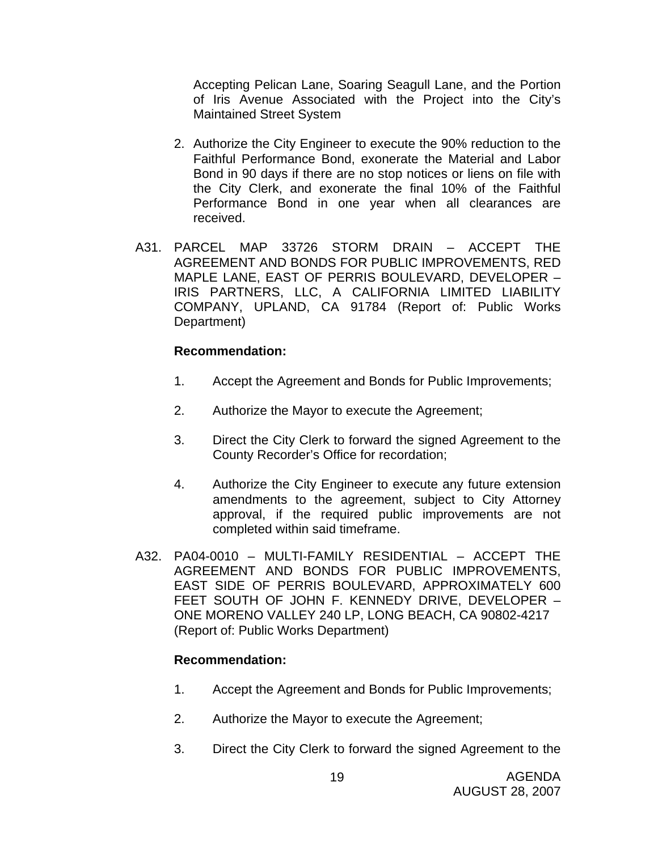Accepting Pelican Lane, Soaring Seagull Lane, and the Portion of Iris Avenue Associated with the Project into the City's Maintained Street System

- 2. Authorize the City Engineer to execute the 90% reduction to the Faithful Performance Bond, exonerate the Material and Labor Bond in 90 days if there are no stop notices or liens on file with the City Clerk, and exonerate the final 10% of the Faithful Performance Bond in one year when all clearances are received.
- A31. PARCEL MAP 33726 STORM DRAIN ACCEPT THE AGREEMENT AND BONDS FOR PUBLIC IMPROVEMENTS, RED MAPLE LANE, EAST OF PERRIS BOULEVARD, DEVELOPER – IRIS PARTNERS, LLC, A CALIFORNIA LIMITED LIABILITY COMPANY, UPLAND, CA 91784 (Report of: Public Works Department)

## **Recommendation:**

- 1. Accept the Agreement and Bonds for Public Improvements;
- 2. Authorize the Mayor to execute the Agreement;
- 3. Direct the City Clerk to forward the signed Agreement to the County Recorder's Office for recordation;
- 4. Authorize the City Engineer to execute any future extension amendments to the agreement, subject to City Attorney approval, if the required public improvements are not completed within said timeframe.
- A32. PA04-0010 MULTI-FAMILY RESIDENTIAL ACCEPT THE AGREEMENT AND BONDS FOR PUBLIC IMPROVEMENTS, EAST SIDE OF PERRIS BOULEVARD, APPROXIMATELY 600 FEET SOUTH OF JOHN F. KENNEDY DRIVE, DEVELOPER – ONE MORENO VALLEY 240 LP, LONG BEACH, CA 90802-4217 (Report of: Public Works Department)

- 1. Accept the Agreement and Bonds for Public Improvements;
- 2. Authorize the Mayor to execute the Agreement;
- 3. Direct the City Clerk to forward the signed Agreement to the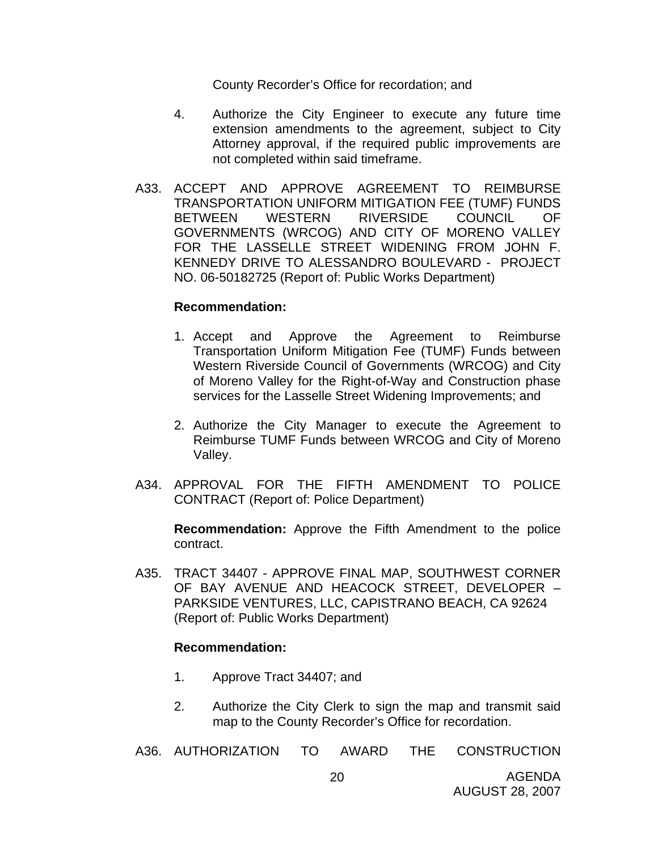County Recorder's Office for recordation; and

- 4. Authorize the City Engineer to execute any future time extension amendments to the agreement, subject to City Attorney approval, if the required public improvements are not completed within said timeframe.
- A33. ACCEPT AND APPROVE AGREEMENT TO REIMBURSE TRANSPORTATION UNIFORM MITIGATION FEE (TUMF) FUNDS BETWEEN WESTERN RIVERSIDE COUNCIL OF GOVERNMENTS (WRCOG) AND CITY OF MORENO VALLEY FOR THE LASSELLE STREET WIDENING FROM JOHN F. KENNEDY DRIVE TO ALESSANDRO BOULEVARD - PROJECT NO. 06-50182725 (Report of: Public Works Department)

#### **Recommendation:**

- 1. Accept and Approve the Agreement to Reimburse Transportation Uniform Mitigation Fee (TUMF) Funds between Western Riverside Council of Governments (WRCOG) and City of Moreno Valley for the Right-of-Way and Construction phase services for the Lasselle Street Widening Improvements; and
- 2. Authorize the City Manager to execute the Agreement to Reimburse TUMF Funds between WRCOG and City of Moreno Valley.
- A34. APPROVAL FOR THE FIFTH AMENDMENT TO POLICE CONTRACT (Report of: Police Department)

**Recommendation:** Approve the Fifth Amendment to the police contract.

A35. TRACT 34407 - APPROVE FINAL MAP, SOUTHWEST CORNER OF BAY AVENUE AND HEACOCK STREET, DEVELOPER – PARKSIDE VENTURES, LLC, CAPISTRANO BEACH, CA 92624 (Report of: Public Works Department)

- 1. Approve Tract 34407; and
- 2. Authorize the City Clerk to sign the map and transmit said map to the County Recorder's Office for recordation.
- A36. AUTHORIZATION TO AWARD THE CONSTRUCTION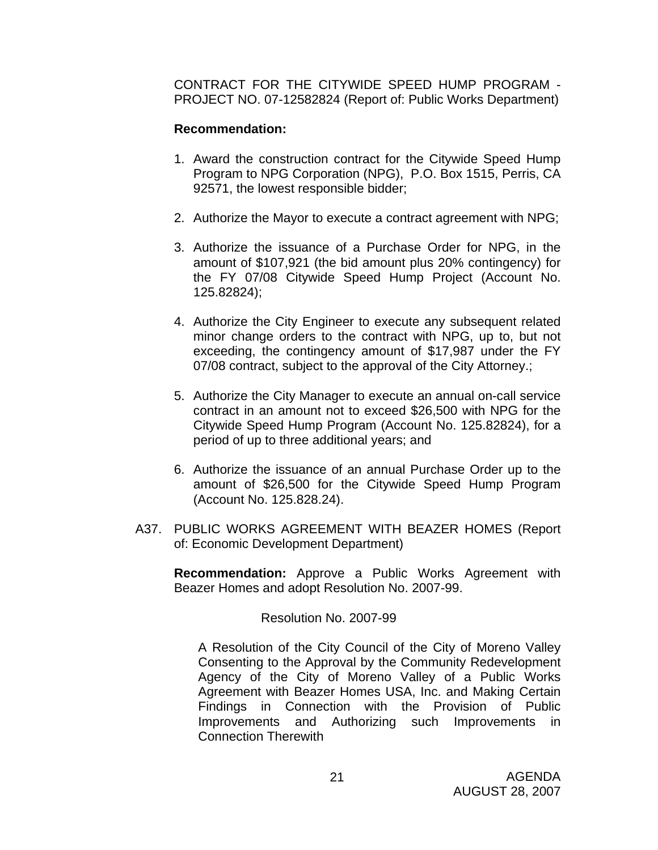CONTRACT FOR THE CITYWIDE SPEED HUMP PROGRAM - PROJECT NO. 07-12582824 (Report of: Public Works Department)

# **Recommendation:**

- 1. Award the construction contract for the Citywide Speed Hump Program to NPG Corporation (NPG), P.O. Box 1515, Perris, CA 92571, the lowest responsible bidder;
- 2. Authorize the Mayor to execute a contract agreement with NPG;
- 3. Authorize the issuance of a Purchase Order for NPG, in the amount of \$107,921 (the bid amount plus 20% contingency) for the FY 07/08 Citywide Speed Hump Project (Account No. 125.82824);
- 4. Authorize the City Engineer to execute any subsequent related minor change orders to the contract with NPG, up to, but not exceeding, the contingency amount of \$17,987 under the FY 07/08 contract, subject to the approval of the City Attorney.;
- 5. Authorize the City Manager to execute an annual on-call service contract in an amount not to exceed \$26,500 with NPG for the Citywide Speed Hump Program (Account No. 125.82824), for a period of up to three additional years; and
- 6. Authorize the issuance of an annual Purchase Order up to the amount of \$26,500 for the Citywide Speed Hump Program (Account No. 125.828.24).
- A37. PUBLIC WORKS AGREEMENT WITH BEAZER HOMES (Report of: Economic Development Department)

**Recommendation:** Approve a Public Works Agreement with Beazer Homes and adopt Resolution No. 2007-99.

Resolution No. 2007-99

A Resolution of the City Council of the City of Moreno Valley Consenting to the Approval by the Community Redevelopment Agency of the City of Moreno Valley of a Public Works Agreement with Beazer Homes USA, Inc. and Making Certain Findings in Connection with the Provision of Public Improvements and Authorizing such Improvements in Connection Therewith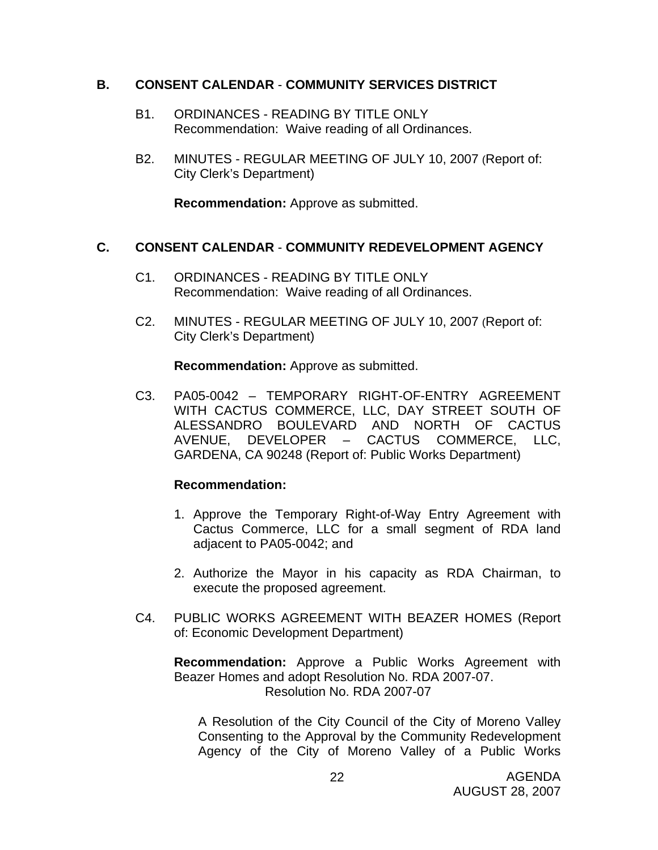## **B. CONSENT CALENDAR** - **COMMUNITY SERVICES DISTRICT**

- B1. ORDINANCES READING BY TITLE ONLY Recommendation: Waive reading of all Ordinances.
- B2. MINUTES REGULAR MEETING OF JULY 10, 2007 (Report of: City Clerk's Department)

**Recommendation:** Approve as submitted.

## **C. CONSENT CALENDAR** - **COMMUNITY REDEVELOPMENT AGENCY**

- C1. ORDINANCES READING BY TITLE ONLY Recommendation: Waive reading of all Ordinances.
- C2. MINUTES REGULAR MEETING OF JULY 10, 2007 (Report of: City Clerk's Department)

**Recommendation:** Approve as submitted.

C3. PA05-0042 – TEMPORARY RIGHT-OF-ENTRY AGREEMENT WITH CACTUS COMMERCE, LLC, DAY STREET SOUTH OF ALESSANDRO BOULEVARD AND NORTH OF CACTUS AVENUE, DEVELOPER – CACTUS COMMERCE, LLC, GARDENA, CA 90248 (Report of: Public Works Department)

## **Recommendation:**

- 1. Approve the Temporary Right-of-Way Entry Agreement with Cactus Commerce, LLC for a small segment of RDA land adjacent to PA05-0042; and
- 2. Authorize the Mayor in his capacity as RDA Chairman, to execute the proposed agreement.
- C4. PUBLIC WORKS AGREEMENT WITH BEAZER HOMES (Report of: Economic Development Department)

**Recommendation:** Approve a Public Works Agreement with Beazer Homes and adopt Resolution No. RDA 2007-07. Resolution No. RDA 2007-07

A Resolution of the City Council of the City of Moreno Valley Consenting to the Approval by the Community Redevelopment Agency of the City of Moreno Valley of a Public Works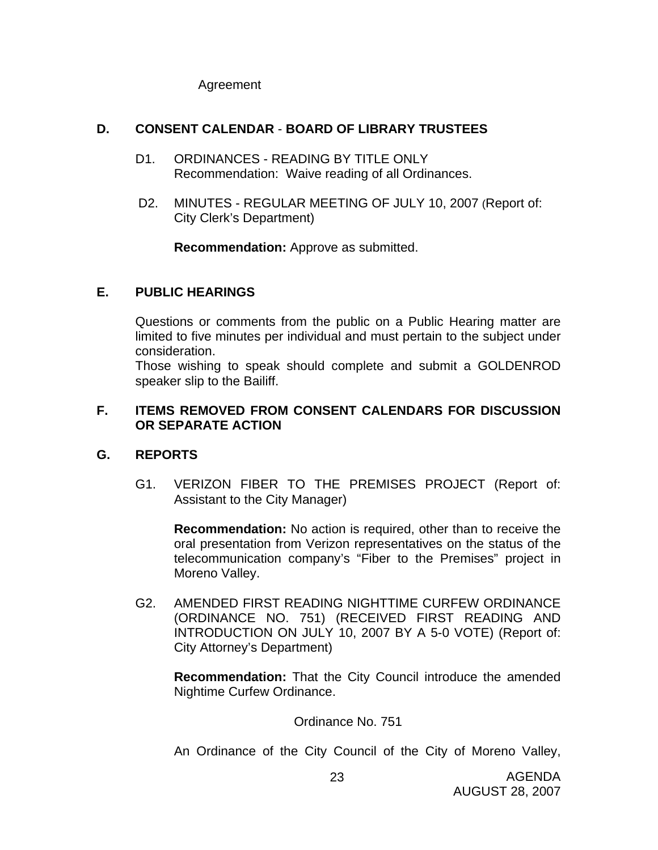Agreement

# **D. CONSENT CALENDAR** - **BOARD OF LIBRARY TRUSTEES**

- D1. ORDINANCES READING BY TITLE ONLY Recommendation: Waive reading of all Ordinances.
- D2. MINUTES REGULAR MEETING OF JULY 10, 2007 (Report of: City Clerk's Department)

**Recommendation:** Approve as submitted.

# **E. PUBLIC HEARINGS**

Questions or comments from the public on a Public Hearing matter are limited to five minutes per individual and must pertain to the subject under consideration.

 Those wishing to speak should complete and submit a GOLDENROD speaker slip to the Bailiff.

## **F. ITEMS REMOVED FROM CONSENT CALENDARS FOR DISCUSSION OR SEPARATE ACTION**

# **G. REPORTS**

G1. VERIZON FIBER TO THE PREMISES PROJECT (Report of: Assistant to the City Manager)

**Recommendation:** No action is required, other than to receive the oral presentation from Verizon representatives on the status of the telecommunication company's "Fiber to the Premises" project in Moreno Valley.

G2. AMENDED FIRST READING NIGHTTIME CURFEW ORDINANCE (ORDINANCE NO. 751) (RECEIVED FIRST READING AND INTRODUCTION ON JULY 10, 2007 BY A 5-0 VOTE) (Report of: City Attorney's Department)

**Recommendation:** That the City Council introduce the amended Nightime Curfew Ordinance.

Ordinance No. 751

An Ordinance of the City Council of the City of Moreno Valley,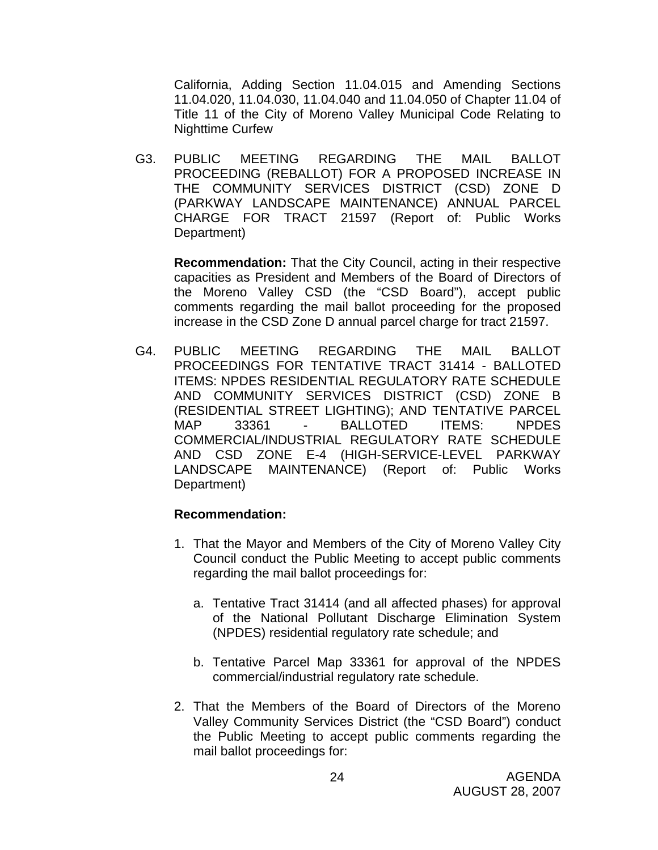California, Adding Section 11.04.015 and Amending Sections 11.04.020, 11.04.030, 11.04.040 and 11.04.050 of Chapter 11.04 of Title 11 of the City of Moreno Valley Municipal Code Relating to Nighttime Curfew

G3. PUBLIC MEETING REGARDING THE MAIL BALLOT PROCEEDING (REBALLOT) FOR A PROPOSED INCREASE IN THE COMMUNITY SERVICES DISTRICT (CSD) ZONE D (PARKWAY LANDSCAPE MAINTENANCE) ANNUAL PARCEL CHARGE FOR TRACT 21597 (Report of: Public Works Department)

**Recommendation:** That the City Council, acting in their respective capacities as President and Members of the Board of Directors of the Moreno Valley CSD (the "CSD Board"), accept public comments regarding the mail ballot proceeding for the proposed increase in the CSD Zone D annual parcel charge for tract 21597.

G4. PUBLIC MEETING REGARDING THE MAIL BALLOT PROCEEDINGS FOR TENTATIVE TRACT 31414 - BALLOTED ITEMS: NPDES RESIDENTIAL REGULATORY RATE SCHEDULE AND COMMUNITY SERVICES DISTRICT (CSD) ZONE B (RESIDENTIAL STREET LIGHTING); AND TENTATIVE PARCEL MAP 33361 - BALLOTED ITEMS: NPDES COMMERCIAL/INDUSTRIAL REGULATORY RATE SCHEDULE AND CSD ZONE E-4 (HIGH-SERVICE-LEVEL PARKWAY LANDSCAPE MAINTENANCE) (Report of: Public Works Department)

- 1. That the Mayor and Members of the City of Moreno Valley City Council conduct the Public Meeting to accept public comments regarding the mail ballot proceedings for:
	- a. Tentative Tract 31414 (and all affected phases) for approval of the National Pollutant Discharge Elimination System (NPDES) residential regulatory rate schedule; and
	- b. Tentative Parcel Map 33361 for approval of the NPDES commercial/industrial regulatory rate schedule.
- 2. That the Members of the Board of Directors of the Moreno Valley Community Services District (the "CSD Board") conduct the Public Meeting to accept public comments regarding the mail ballot proceedings for: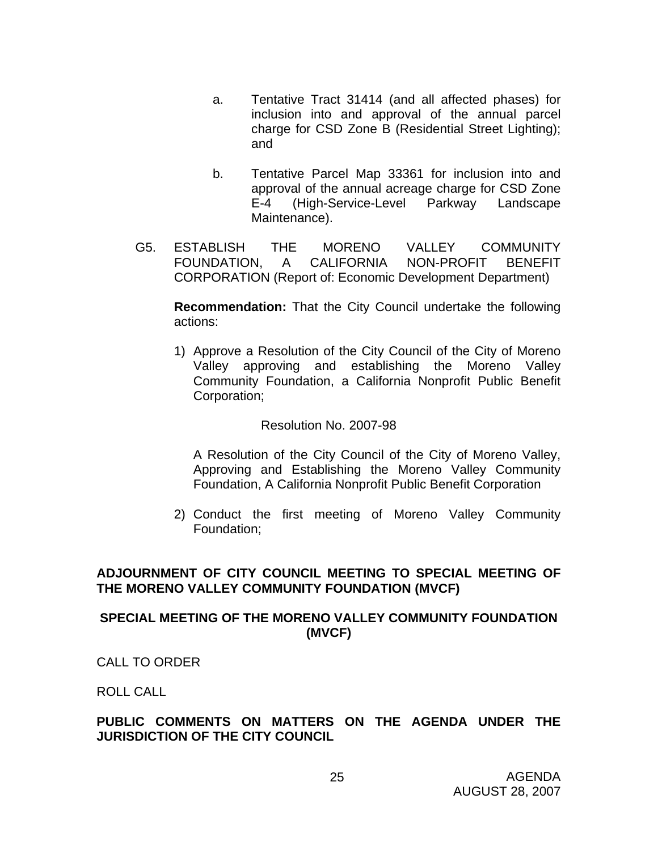- a. Tentative Tract 31414 (and all affected phases) for inclusion into and approval of the annual parcel charge for CSD Zone B (Residential Street Lighting); and
- b. Tentative Parcel Map 33361 for inclusion into and approval of the annual acreage charge for CSD Zone E-4 (High-Service-Level Parkway Landscape Maintenance).
- G5. ESTABLISH THE MORENO VALLEY COMMUNITY FOUNDATION, A CALIFORNIA NON-PROFIT BENEFIT CORPORATION (Report of: Economic Development Department)

**Recommendation:** That the City Council undertake the following actions:

1) Approve a Resolution of the City Council of the City of Moreno Valley approving and establishing the Moreno Valley Community Foundation, a California Nonprofit Public Benefit Corporation;

## Resolution No. 2007-98

A Resolution of the City Council of the City of Moreno Valley, Approving and Establishing the Moreno Valley Community Foundation, A California Nonprofit Public Benefit Corporation

2) Conduct the first meeting of Moreno Valley Community Foundation;

## **ADJOURNMENT OF CITY COUNCIL MEETING TO SPECIAL MEETING OF THE MORENO VALLEY COMMUNITY FOUNDATION (MVCF)**

## **SPECIAL MEETING OF THE MORENO VALLEY COMMUNITY FOUNDATION (MVCF)**

CALL TO ORDER

ROLL CALL

## **PUBLIC COMMENTS ON MATTERS ON THE AGENDA UNDER THE JURISDICTION OF THE CITY COUNCIL**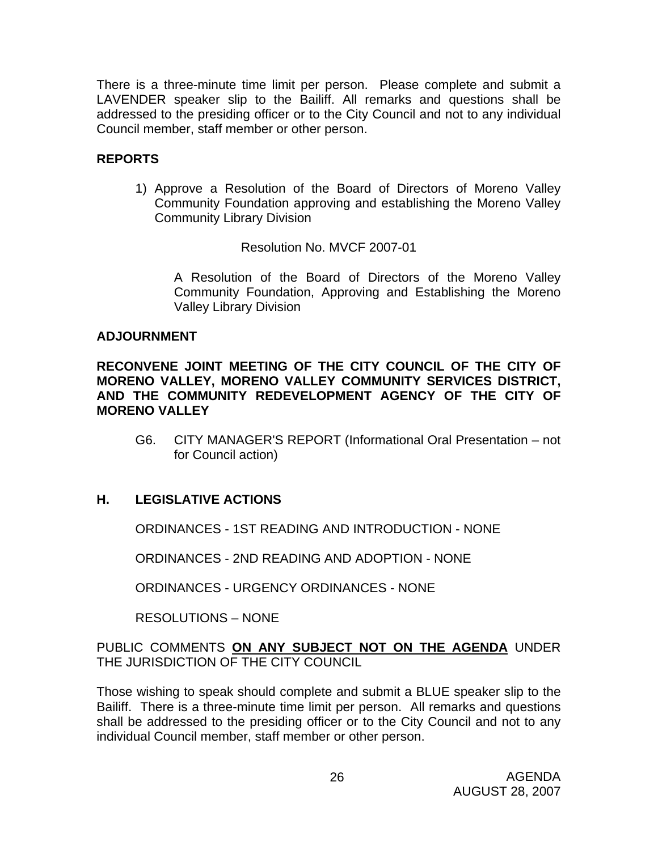There is a three-minute time limit per person. Please complete and submit a LAVENDER speaker slip to the Bailiff. All remarks and questions shall be addressed to the presiding officer or to the City Council and not to any individual Council member, staff member or other person.

# **REPORTS**

1) Approve a Resolution of the Board of Directors of Moreno Valley Community Foundation approving and establishing the Moreno Valley Community Library Division

Resolution No. MVCF 2007-01

A Resolution of the Board of Directors of the Moreno Valley Community Foundation, Approving and Establishing the Moreno Valley Library Division

## **ADJOURNMENT**

**RECONVENE JOINT MEETING OF THE CITY COUNCIL OF THE CITY OF MORENO VALLEY, MORENO VALLEY COMMUNITY SERVICES DISTRICT, AND THE COMMUNITY REDEVELOPMENT AGENCY OF THE CITY OF MORENO VALLEY** 

G6. CITY MANAGER'S REPORT (Informational Oral Presentation – not for Council action)

# **H. LEGISLATIVE ACTIONS**

ORDINANCES - 1ST READING AND INTRODUCTION - NONE

ORDINANCES - 2ND READING AND ADOPTION - NONE

ORDINANCES - URGENCY ORDINANCES - NONE

RESOLUTIONS – NONE

PUBLIC COMMENTS **ON ANY SUBJECT NOT ON THE AGENDA** UNDER THE JURISDICTION OF THE CITY COUNCIL

Those wishing to speak should complete and submit a BLUE speaker slip to the Bailiff. There is a three-minute time limit per person. All remarks and questions shall be addressed to the presiding officer or to the City Council and not to any individual Council member, staff member or other person.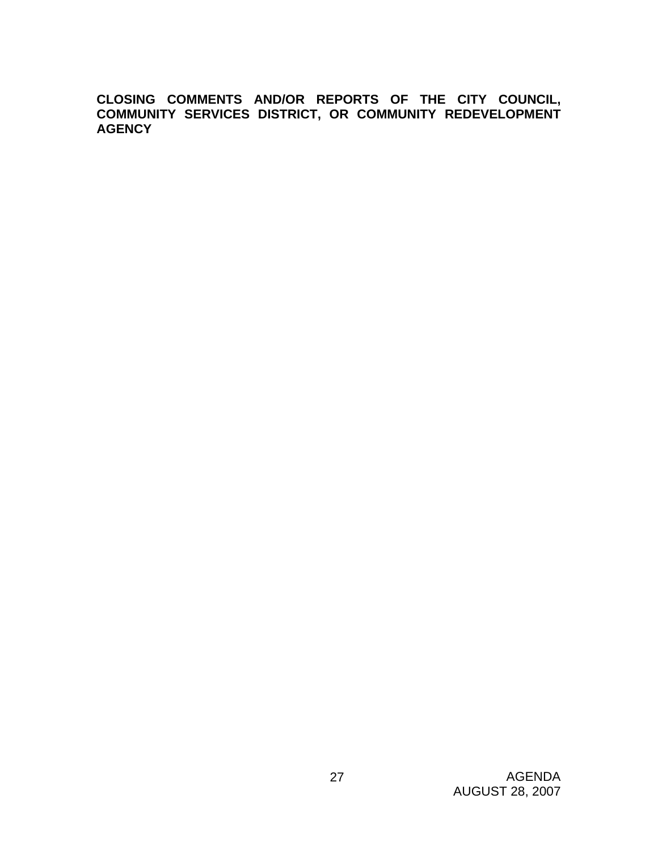**CLOSING COMMENTS AND/OR REPORTS OF THE CITY COUNCIL, COMMUNITY SERVICES DISTRICT, OR COMMUNITY REDEVELOPMENT AGENCY**